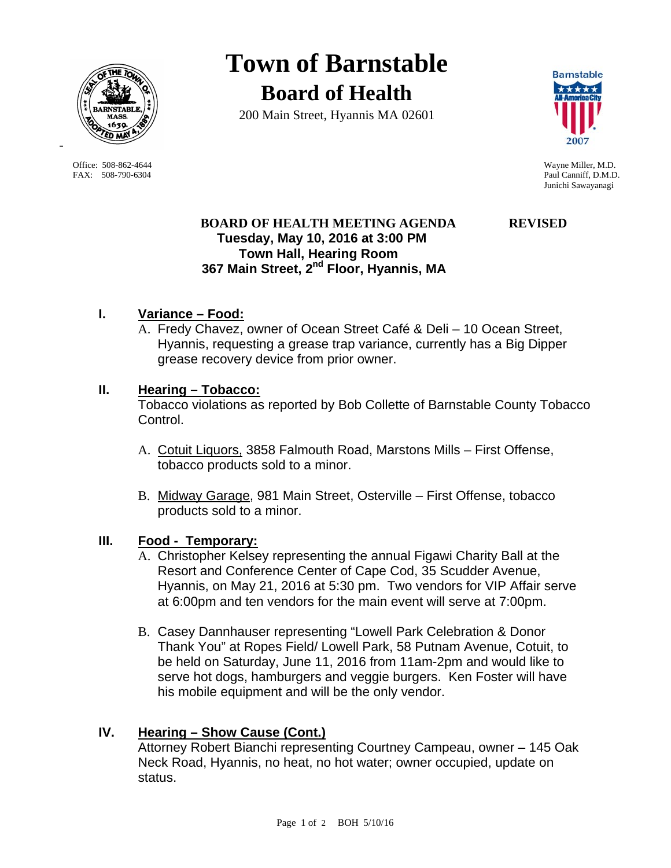

Office: 508-862-4644 Wayne Miller, M.D. FAX: 508-790-6304 Paul Canniff, D.M.D.

-

**Town of Barnstable Board of Health**

200 Main Street, Hyannis MA 02601



Junichi Sawayanagi

# **BOARD OF HEALTH MEETING AGENDA REVISED Tuesday, May 10, 2016 at 3:00 PM Town Hall, Hearing Room 367 Main Street, 2nd Floor, Hyannis, MA**

# **I. Variance – Food:**

A. Fredy Chavez, owner of Ocean Street Café & Deli – 10 Ocean Street, Hyannis, requesting a grease trap variance, currently has a Big Dipper grease recovery device from prior owner.

#### **II. Hearing – Tobacco:**

Tobacco violations as reported by Bob Collette of Barnstable County Tobacco Control.

- A. Cotuit Liquors, 3858 Falmouth Road, Marstons Mills First Offense, tobacco products sold to a minor.
- B. Midway Garage, 981 Main Street, Osterville First Offense, tobacco products sold to a minor.

## **III. Food - Temporary:**

- A. Christopher Kelsey representing the annual Figawi Charity Ball at the Resort and Conference Center of Cape Cod, 35 Scudder Avenue, Hyannis, on May 21, 2016 at 5:30 pm. Two vendors for VIP Affair serve at 6:00pm and ten vendors for the main event will serve at 7:00pm.
- B. Casey Dannhauser representing "Lowell Park Celebration & Donor Thank You" at Ropes Field/ Lowell Park, 58 Putnam Avenue, Cotuit, to be held on Saturday, June 11, 2016 from 11am-2pm and would like to serve hot dogs, hamburgers and veggie burgers. Ken Foster will have his mobile equipment and will be the only vendor.

## **IV. Hearing – Show Cause (Cont.)**

 Attorney Robert Bianchi representing Courtney Campeau, owner – 145 Oak Neck Road, Hyannis, no heat, no hot water; owner occupied, update on status.